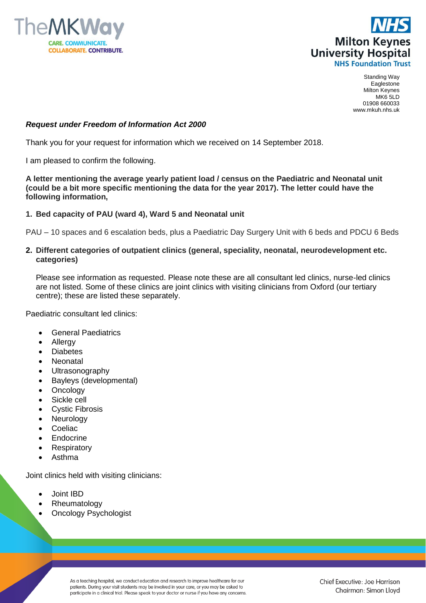



Standing Way Eaglestone Milton Keynes MK6 5LD 01908 660033 www.mkuh.nhs.uk

### *Request under Freedom of Information Act 2000*

Thank you for your request for information which we received on 14 September 2018.

I am pleased to confirm the following.

**A letter mentioning the average yearly patient load / census on the Paediatric and Neonatal unit (could be a bit more specific mentioning the data for the year 2017). The letter could have the following information,**

#### **1. Bed capacity of PAU (ward 4), Ward 5 and Neonatal unit**

PAU – 10 spaces and 6 escalation beds, plus a Paediatric Day Surgery Unit with 6 beds and PDCU 6 Beds

#### **2. Different categories of outpatient clinics (general, speciality, neonatal, neurodevelopment etc. categories)**

Please see information as requested. Please note these are all consultant led clinics, nurse-led clinics are not listed. Some of these clinics are joint clinics with visiting clinicians from Oxford (our tertiary centre); these are listed these separately.

Paediatric consultant led clinics:

- General Paediatrics
- Allergy
- **Diabetes**
- Neonatal
- Ultrasonography
- Bayleys (developmental)
- Oncology
- Sickle cell
- Cystic Fibrosis
- Neurology
- Coeliac
- Endocrine
- **Respiratory**
- Asthma

Joint clinics held with visiting clinicians:

- Joint IBD
- Rheumatology
- Oncology Psychologist

As a teaching hospital, we conduct education and research to improve healthcare for our patients. During your visit students may be involved in your care, or you may be asked to participate in a clinical trial. Please speak to your doctor or nurse if you have any concerns.